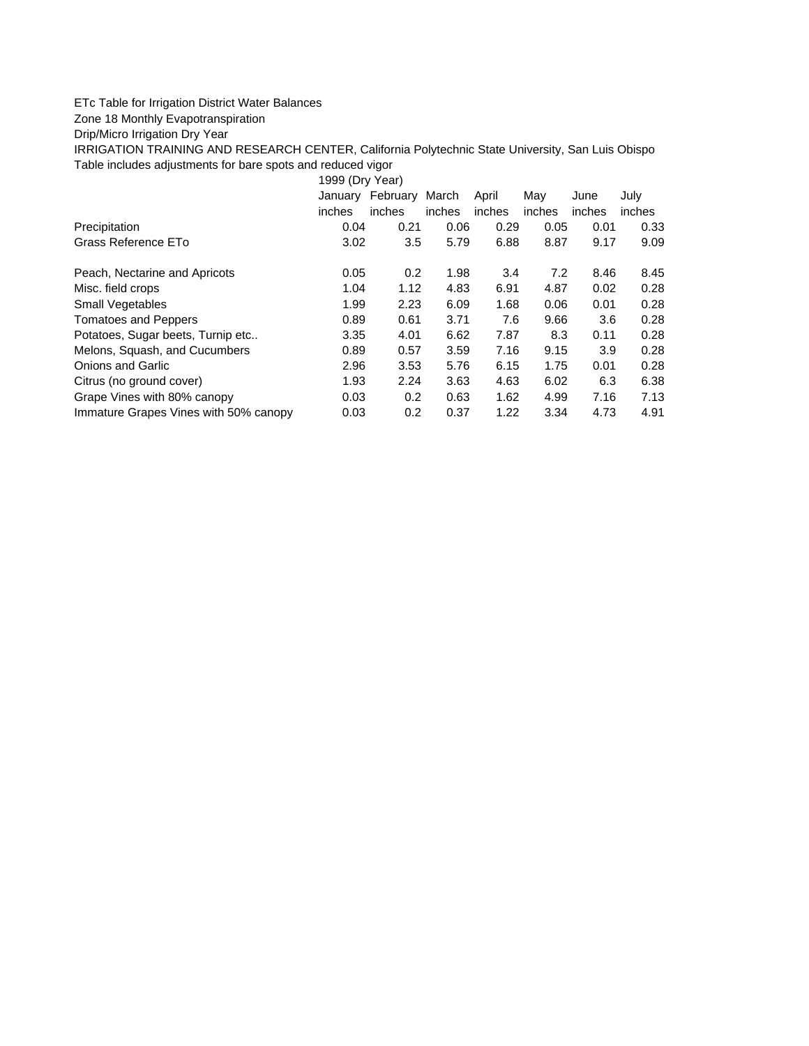## ETc Table for Irrigation District Water Balances

## Zone 18 Monthly Evapotranspiration

Drip/Micro Irrigation Dry Year

IRRIGATION TRAINING AND RESEARCH CENTER, California Polytechnic State University, San Luis Obispo Table includes adjustments for bare spots and reduced vigor

1999 (Dry Year)

|                                       | January | February | March  | April  | May    | June   | July   |
|---------------------------------------|---------|----------|--------|--------|--------|--------|--------|
|                                       | inches  | inches   | inches | inches | inches | inches | inches |
| Precipitation                         | 0.04    | 0.21     | 0.06   | 0.29   | 0.05   | 0.01   | 0.33   |
| Grass Reference ETo                   | 3.02    | 3.5      | 5.79   | 6.88   | 8.87   | 9.17   | 9.09   |
| Peach, Nectarine and Apricots         | 0.05    | 0.2      | 1.98   | 3.4    | 7.2    | 8.46   | 8.45   |
| Misc. field crops                     | 1.04    | 1.12     | 4.83   | 6.91   | 4.87   | 0.02   | 0.28   |
| Small Vegetables                      | 1.99    | 2.23     | 6.09   | 1.68   | 0.06   | 0.01   | 0.28   |
| <b>Tomatoes and Peppers</b>           | 0.89    | 0.61     | 3.71   | 7.6    | 9.66   | 3.6    | 0.28   |
| Potatoes, Sugar beets, Turnip etc     | 3.35    | 4.01     | 6.62   | 7.87   | 8.3    | 0.11   | 0.28   |
| Melons, Squash, and Cucumbers         | 0.89    | 0.57     | 3.59   | 7.16   | 9.15   | 3.9    | 0.28   |
| <b>Onions and Garlic</b>              | 2.96    | 3.53     | 5.76   | 6.15   | 1.75   | 0.01   | 0.28   |
| Citrus (no ground cover)              | 1.93    | 2.24     | 3.63   | 4.63   | 6.02   | 6.3    | 6.38   |
| Grape Vines with 80% canopy           | 0.03    | 0.2      | 0.63   | 1.62   | 4.99   | 7.16   | 7.13   |
| Immature Grapes Vines with 50% canopy | 0.03    | 0.2      | 0.37   | 1.22   | 3.34   | 4.73   | 4.91   |